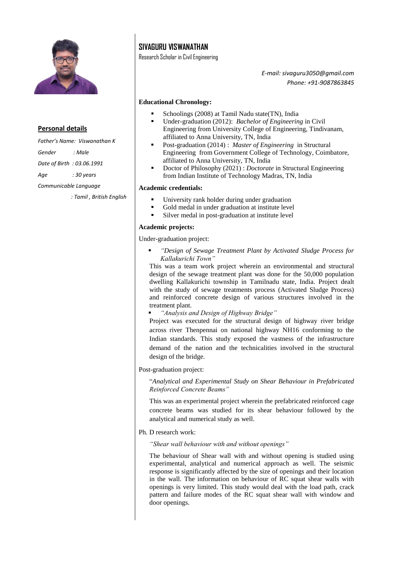

## **Personal details**

*Father's Name: Viswanathan K Gender : Male Date of Birth : 03.06.1991 Age : 30 years Communicable Language : Tamil , British English*

# **SIVAGURU VISWANATHAN**

Research Scholar in Civil Engineering

*E-mail: sivaguru3050@gmail.com Phone: +91-9087863845*

## **Educational Chronology:**

- Schoolings (2008) at Tamil Nadu state(TN), India
- Under-graduation (2012): *Bachelor of Engineering* in Civil Engineering from University College of Engineering, Tindivanam, affiliated to Anna University, TN, India
- Post-graduation (2014) : *Master of Engineering* in Structural Engineering from Government College of Technology, Coimbatore, affiliated to Anna University, TN, India
- Doctor of Philosophy (2021) : *Doctorate* in Structural Engineering from Indian Institute of Technology Madras, TN, India

#### **Academic credentials:**

- University rank holder during under graduation
- Gold medal in under graduation at institute level
- Silver medal in post-graduation at institute level

#### **Academic projects:**

Under-graduation project:

 *"Design of Sewage Treatment Plant by Activated Sludge Process for Kallakurichi Town"*

This was a team work project wherein an environmental and structural design of the sewage treatment plant was done for the 50,000 population dwelling Kallakurichi township in Tamilnadu state, India. Project dealt with the study of sewage treatments process (Activated Sludge Process) and reinforced concrete design of various structures involved in the treatment plant.

*"Analysis and Design of Highway Bridge"*

Project was executed for the structural design of highway river bridge across river Thenpennai on national highway NH16 conforming to the Indian standards. This study exposed the vastness of the infrastructure demand of the nation and the technicalities involved in the structural design of the bridge.

#### Post-graduation project:

"*Analytical and Experimental Study on Shear Behaviour in Prefabricated Reinforced Concrete Beams"*

This was an experimental project wherein the prefabricated reinforced cage concrete beams was studied for its shear behaviour followed by the analytical and numerical study as well.

## Ph. D research work:

*"Shear wall behaviour with and without openings"*

The behaviour of Shear wall with and without opening is studied using experimental, analytical and numerical approach as well. The seismic response is significantly affected by the size of openings and their location in the wall. The information on behaviour of RC squat shear walls with openings is very limited. This study would deal with the load path, crack pattern and failure modes of the RC squat shear wall with window and door openings.